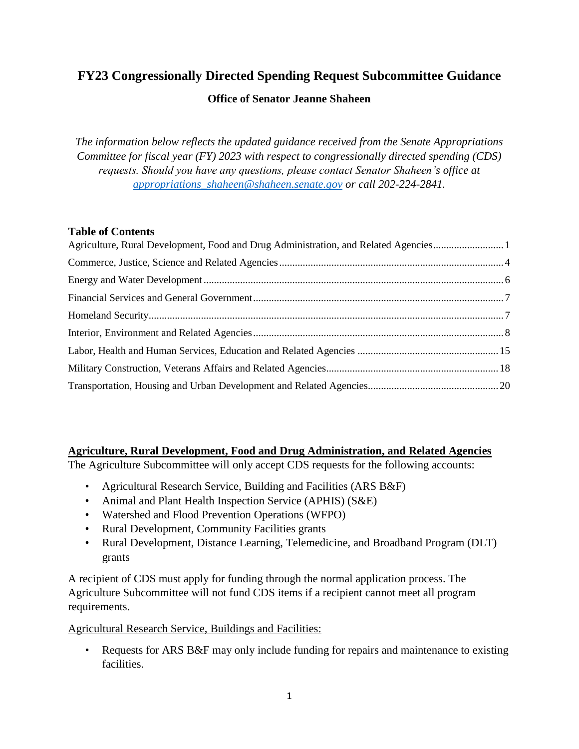# **FY23 Congressionally Directed Spending Request Subcommittee Guidance**

### **Office of Senator Jeanne Shaheen**

*The information below reflects the updated guidance received from the Senate Appropriations Committee for fiscal year (FY) 2023 with respect to congressionally directed spending (CDS) requests. Should you have any questions, please contact Senator Shaheen's office at [appropriations\\_shaheen@shaheen.senate.gov](mailto:Appropriations_Shaheen@shaheen.senate.gov) or call 202-224-2841.*

### **Table of Contents**

| Agriculture, Rural Development, Food and Drug Administration, and Related Agencies1 |  |
|-------------------------------------------------------------------------------------|--|
|                                                                                     |  |
|                                                                                     |  |
|                                                                                     |  |
|                                                                                     |  |
|                                                                                     |  |
|                                                                                     |  |
|                                                                                     |  |
|                                                                                     |  |

### <span id="page-0-0"></span>**Agriculture, Rural Development, Food and Drug Administration, and Related Agencies**

The Agriculture Subcommittee will only accept CDS requests for the following accounts:

- Agricultural Research Service, Building and Facilities (ARS B&F)
- Animal and Plant Health Inspection Service (APHIS) (S&E)
- Watershed and Flood Prevention Operations (WFPO)
- Rural Development, Community Facilities grants
- Rural Development, Distance Learning, Telemedicine, and Broadband Program (DLT) grants

A recipient of CDS must apply for funding through the normal application process. The Agriculture Subcommittee will not fund CDS items if a recipient cannot meet all program requirements.

### Agricultural Research Service, Buildings and Facilities:

• Requests for ARS B&F may only include funding for repairs and maintenance to existing facilities.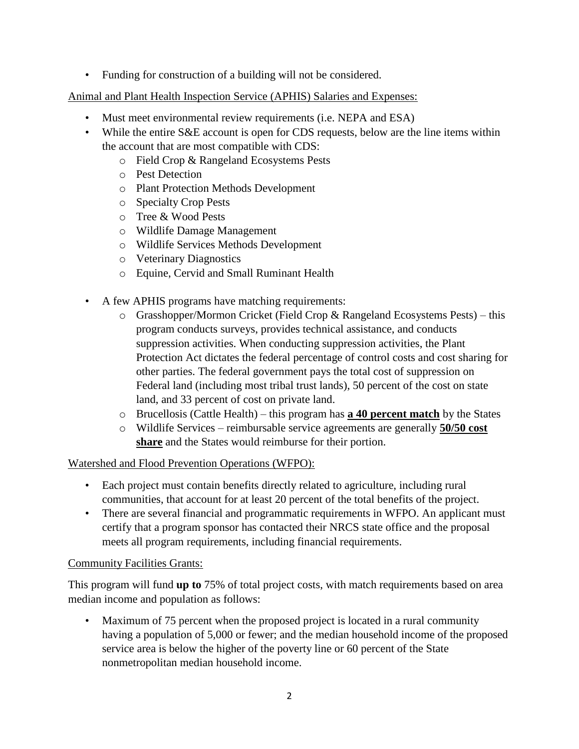• Funding for construction of a building will not be considered.

Animal and Plant Health Inspection Service (APHIS) Salaries and Expenses:

- Must meet environmental review requirements (i.e. NEPA and ESA)
- While the entire S&E account is open for CDS requests, below are the line items within the account that are most compatible with CDS:
	- o Field Crop & Rangeland Ecosystems Pests
	- o Pest Detection
	- o Plant Protection Methods Development
	- o Specialty Crop Pests
	- o Tree & Wood Pests
	- o Wildlife Damage Management
	- o Wildlife Services Methods Development
	- o Veterinary Diagnostics
	- o Equine, Cervid and Small Ruminant Health
- A few APHIS programs have matching requirements:
	- $\circ$  Grasshopper/Mormon Cricket (Field Crop & Rangeland Ecosystems Pests) this program conducts surveys, provides technical assistance, and conducts suppression activities. When conducting suppression activities, the Plant Protection Act dictates the federal percentage of control costs and cost sharing for other parties. The federal government pays the total cost of suppression on Federal land (including most tribal trust lands), 50 percent of the cost on state land, and 33 percent of cost on private land.
	- o Brucellosis (Cattle Health) this program has **a 40 percent match** by the States
	- o Wildlife Services reimbursable service agreements are generally **50/50 cost share** and the States would reimburse for their portion.

### Watershed and Flood Prevention Operations (WFPO):

- Each project must contain benefits directly related to agriculture, including rural communities, that account for at least 20 percent of the total benefits of the project.
- There are several financial and programmatic requirements in WFPO. An applicant must certify that a program sponsor has contacted their NRCS state office and the proposal meets all program requirements, including financial requirements.

### Community Facilities Grants:

This program will fund **up to** 75% of total project costs, with match requirements based on area median income and population as follows:

• Maximum of 75 percent when the proposed project is located in a rural community having a population of 5,000 or fewer; and the median household income of the proposed service area is below the higher of the poverty line or 60 percent of the State nonmetropolitan median household income.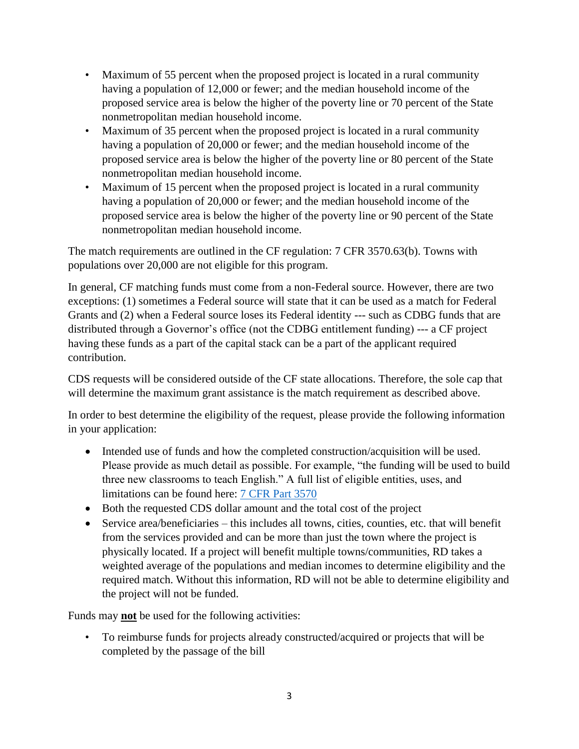- Maximum of 55 percent when the proposed project is located in a rural community having a population of 12,000 or fewer; and the median household income of the proposed service area is below the higher of the poverty line or 70 percent of the State nonmetropolitan median household income.
- Maximum of 35 percent when the proposed project is located in a rural community having a population of 20,000 or fewer; and the median household income of the proposed service area is below the higher of the poverty line or 80 percent of the State nonmetropolitan median household income.
- Maximum of 15 percent when the proposed project is located in a rural community having a population of 20,000 or fewer; and the median household income of the proposed service area is below the higher of the poverty line or 90 percent of the State nonmetropolitan median household income.

The match requirements are outlined in the CF regulation: 7 CFR 3570.63(b). Towns with populations over 20,000 are not eligible for this program.

In general, CF matching funds must come from a non-Federal source. However, there are two exceptions: (1) sometimes a Federal source will state that it can be used as a match for Federal Grants and (2) when a Federal source loses its Federal identity --- such as CDBG funds that are distributed through a Governor's office (not the CDBG entitlement funding) --- a CF project having these funds as a part of the capital stack can be a part of the applicant required contribution.

CDS requests will be considered outside of the CF state allocations. Therefore, the sole cap that will determine the maximum grant assistance is the match requirement as described above.

In order to best determine the eligibility of the request, please provide the following information in your application:

- Intended use of funds and how the completed construction/acquisition will be used. Please provide as much detail as possible. For example, "the funding will be used to build three new classrooms to teach English." A full list of eligible entities, uses, and limitations can be found here: [7 CFR Part 3570](https://www.ecfr.gov/current/title-7/subtitle-B/chapter-XXXV/part-3570)
- Both the requested CDS dollar amount and the total cost of the project
- Service area/beneficiaries this includes all towns, cities, counties, etc. that will benefit from the services provided and can be more than just the town where the project is physically located. If a project will benefit multiple towns/communities, RD takes a weighted average of the populations and median incomes to determine eligibility and the required match. Without this information, RD will not be able to determine eligibility and the project will not be funded.

Funds may **not** be used for the following activities:

• To reimburse funds for projects already constructed/acquired or projects that will be completed by the passage of the bill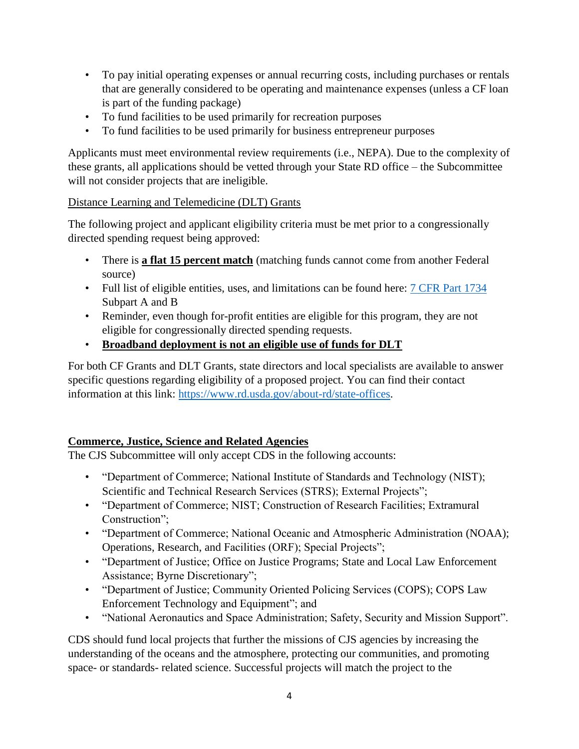- To pay initial operating expenses or annual recurring costs, including purchases or rentals that are generally considered to be operating and maintenance expenses (unless a CF loan is part of the funding package)
- To fund facilities to be used primarily for recreation purposes
- To fund facilities to be used primarily for business entrepreneur purposes

Applicants must meet environmental review requirements (i.e., NEPA). Due to the complexity of these grants, all applications should be vetted through your State RD office – the Subcommittee will not consider projects that are ineligible.

## Distance Learning and Telemedicine (DLT) Grants

The following project and applicant eligibility criteria must be met prior to a congressionally directed spending request being approved:

- There is **a flat 15 percent match** (matching funds cannot come from another Federal source)
- Full list of eligible entities, uses, and limitations can be found here: [7 CFR Part 1734](https://www.ecfr.gov/current/title-7/subtitle-B/chapter-XVII/part-1734#_top) Subpart A and B
- Reminder, even though for-profit entities are eligible for this program, they are not eligible for congressionally directed spending requests.
- **Broadband deployment is not an eligible use of funds for DLT**

For both CF Grants and DLT Grants, state directors and local specialists are available to answer specific questions regarding eligibility of a proposed project. You can find their contact information at this link: [https://www.rd.usda.gov/about-rd/state-offices.](https://www.rd.usda.gov/about-rd/state-offices)

# <span id="page-3-0"></span>**Commerce, Justice, Science and Related Agencies**

The CJS Subcommittee will only accept CDS in the following accounts:

- "Department of Commerce; National Institute of Standards and Technology (NIST); Scientific and Technical Research Services (STRS); External Projects";
- "Department of Commerce; NIST; Construction of Research Facilities; Extramural Construction";
- "Department of Commerce; National Oceanic and Atmospheric Administration (NOAA); Operations, Research, and Facilities (ORF); Special Projects";
- "Department of Justice; Office on Justice Programs; State and Local Law Enforcement Assistance; Byrne Discretionary";
- "Department of Justice; Community Oriented Policing Services (COPS); COPS Law Enforcement Technology and Equipment"; and
- "National Aeronautics and Space Administration; Safety, Security and Mission Support".

CDS should fund local projects that further the missions of CJS agencies by increasing the understanding of the oceans and the atmosphere, protecting our communities, and promoting space- or standards- related science. Successful projects will match the project to the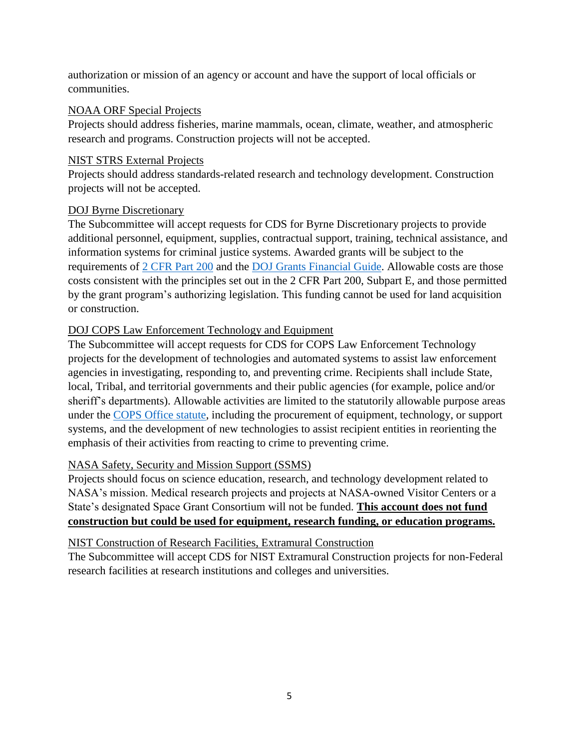authorization or mission of an agency or account and have the support of local officials or communities.

#### NOAA ORF Special Projects

Projects should address fisheries, marine mammals, ocean, climate, weather, and atmospheric research and programs. Construction projects will not be accepted.

#### NIST STRS External Projects

Projects should address standards-related research and technology development. Construction projects will not be accepted.

### DOJ Byrne Discretionary

The Subcommittee will accept requests for CDS for Byrne Discretionary projects to provide additional personnel, equipment, supplies, contractual support, training, technical assistance, and information systems for criminal justice systems. Awarded grants will be subject to the requirements of [2 CFR Part 200](https://www.ecfr.gov/current/title-2/subtitle-A/chapter-II/part-200) and the [DOJ Grants Financial Guide.](https://www.ojp.gov/funding/financialguidedoj/overview) Allowable costs are those costs consistent with the principles set out in the 2 CFR Part 200, Subpart E, and those permitted by the grant program's authorizing legislation. This funding cannot be used for land acquisition or construction.

## DOJ COPS Law Enforcement Technology and Equipment

The Subcommittee will accept requests for CDS for COPS Law Enforcement Technology projects for the development of technologies and automated systems to assist law enforcement agencies in investigating, responding to, and preventing crime. Recipients shall include State, local, Tribal, and territorial governments and their public agencies (for example, police and/or sheriff's departments). Allowable activities are limited to the statutorily allowable purpose areas under the [COPS Office statute,](https://www.law.cornell.edu/uscode/text/34/10381) including the procurement of equipment, technology, or support systems, and the development of new technologies to assist recipient entities in reorienting the emphasis of their activities from reacting to crime to preventing crime.

### NASA Safety, Security and Mission Support (SSMS)

Projects should focus on science education, research, and technology development related to NASA's mission. Medical research projects and projects at NASA-owned Visitor Centers or a State's designated Space Grant Consortium will not be funded. **This account does not fund construction but could be used for equipment, research funding, or education programs.**

### NIST Construction of Research Facilities, Extramural Construction

The Subcommittee will accept CDS for NIST Extramural Construction projects for non-Federal research facilities at research institutions and colleges and universities.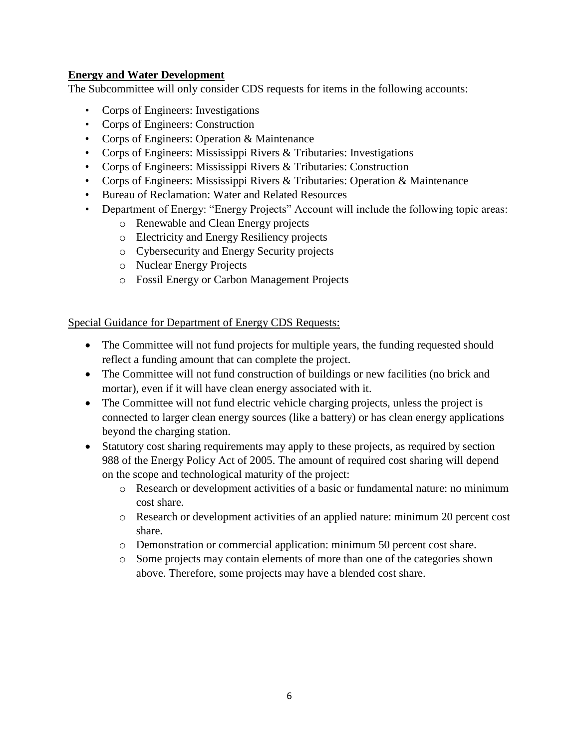### <span id="page-5-0"></span>**Energy and Water Development**

The Subcommittee will only consider CDS requests for items in the following accounts:

- Corps of Engineers: Investigations
- Corps of Engineers: Construction
- Corps of Engineers: Operation & Maintenance
- Corps of Engineers: Mississippi Rivers & Tributaries: Investigations
- Corps of Engineers: Mississippi Rivers & Tributaries: Construction
- Corps of Engineers: Mississippi Rivers & Tributaries: Operation & Maintenance
- Bureau of Reclamation: Water and Related Resources
- Department of Energy: "Energy Projects" Account will include the following topic areas:
	- o Renewable and Clean Energy projects
	- o Electricity and Energy Resiliency projects
	- o Cybersecurity and Energy Security projects
	- o Nuclear Energy Projects
	- o Fossil Energy or Carbon Management Projects

Special Guidance for Department of Energy CDS Requests:

- The Committee will not fund projects for multiple years, the funding requested should reflect a funding amount that can complete the project.
- The Committee will not fund construction of buildings or new facilities (no brick and mortar), even if it will have clean energy associated with it.
- The Committee will not fund electric vehicle charging projects, unless the project is connected to larger clean energy sources (like a battery) or has clean energy applications beyond the charging station.
- Statutory cost sharing requirements may apply to these projects, as required by section 988 of the Energy Policy Act of 2005. The amount of required cost sharing will depend on the scope and technological maturity of the project:
	- o Research or development activities of a basic or fundamental nature: no minimum cost share.
	- o Research or development activities of an applied nature: minimum 20 percent cost share.
	- o Demonstration or commercial application: minimum 50 percent cost share.
	- o Some projects may contain elements of more than one of the categories shown above. Therefore, some projects may have a blended cost share.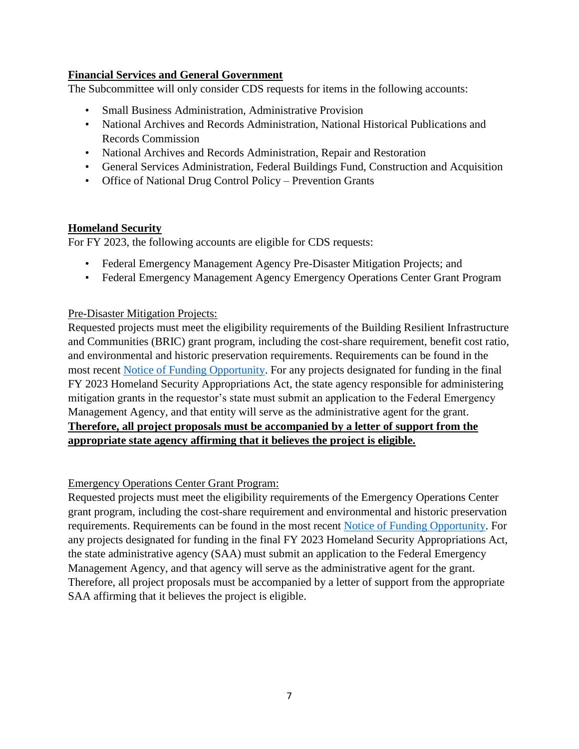## <span id="page-6-0"></span>**Financial Services and General Government**

The Subcommittee will only consider CDS requests for items in the following accounts:

- Small Business Administration, Administrative Provision
- National Archives and Records Administration, National Historical Publications and Records Commission
- National Archives and Records Administration, Repair and Restoration
- General Services Administration, Federal Buildings Fund, Construction and Acquisition
- Office of National Drug Control Policy Prevention Grants

## <span id="page-6-1"></span>**Homeland Security**

For FY 2023, the following accounts are eligible for CDS requests:

- Federal Emergency Management Agency Pre-Disaster Mitigation Projects; and
- Federal Emergency Management Agency Emergency Operations Center Grant Program

### Pre-Disaster Mitigation Projects:

Requested projects must meet the eligibility requirements of the Building Resilient Infrastructure and Communities (BRIC) grant program, including the cost-share requirement, benefit cost ratio, and environmental and historic preservation requirements. Requirements can be found in the most recent [Notice of Funding Opportunity.](https://www.fema.gov/sites/default/files/documents/fema_nofo-fiscal-year-2021-building-resilient-infrastructure.pdf) For any projects designated for funding in the final FY 2023 Homeland Security Appropriations Act, the state agency responsible for administering mitigation grants in the requestor's state must submit an application to the Federal Emergency Management Agency, and that entity will serve as the administrative agent for the grant. **Therefore, all project proposals must be accompanied by a letter of support from the appropriate state agency affirming that it believes the project is eligible.**

### Emergency Operations Center Grant Program:

Requested projects must meet the eligibility requirements of the Emergency Operations Center grant program, including the cost-share requirement and environmental and historic preservation requirements. Requirements can be found in the most recent [Notice of Funding Opportunity.](https://www.grants.gov/web/grants/view-opportunity.html?oppId=95433) For any projects designated for funding in the final FY 2023 Homeland Security Appropriations Act, the state administrative agency (SAA) must submit an application to the Federal Emergency Management Agency, and that agency will serve as the administrative agent for the grant. Therefore, all project proposals must be accompanied by a letter of support from the appropriate SAA affirming that it believes the project is eligible.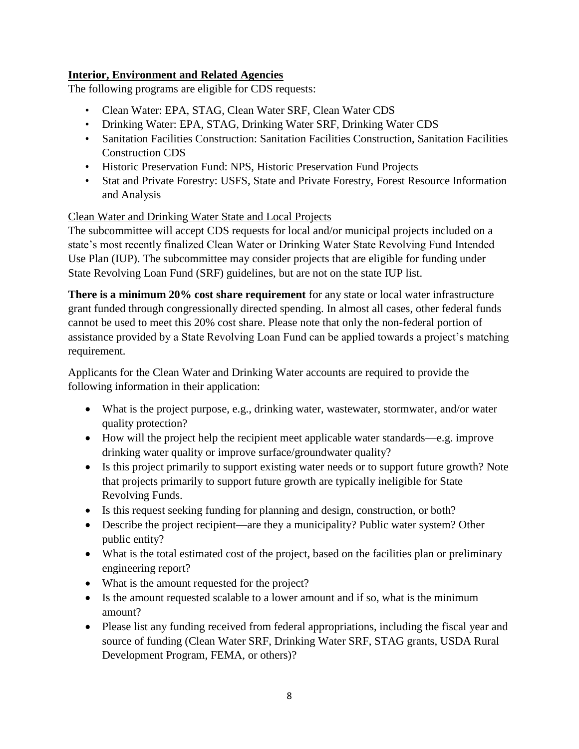# <span id="page-7-0"></span>**Interior, Environment and Related Agencies**

The following programs are eligible for CDS requests:

- Clean Water: EPA, STAG, Clean Water SRF, Clean Water CDS
- Drinking Water: EPA, STAG, Drinking Water SRF, Drinking Water CDS
- Sanitation Facilities Construction: Sanitation Facilities Construction, Sanitation Facilities Construction CDS
- Historic Preservation Fund: NPS, Historic Preservation Fund Projects
- Stat and Private Forestry: USFS, State and Private Forestry, Forest Resource Information and Analysis

## Clean Water and Drinking Water State and Local Projects

The subcommittee will accept CDS requests for local and/or municipal projects included on a state's most recently finalized Clean Water or Drinking Water State Revolving Fund Intended Use Plan (IUP). The subcommittee may consider projects that are eligible for funding under State Revolving Loan Fund (SRF) guidelines, but are not on the state IUP list.

**There is a minimum 20% cost share requirement** for any state or local water infrastructure grant funded through congressionally directed spending. In almost all cases, other federal funds cannot be used to meet this 20% cost share. Please note that only the non-federal portion of assistance provided by a State Revolving Loan Fund can be applied towards a project's matching requirement.

Applicants for the Clean Water and Drinking Water accounts are required to provide the following information in their application:

- What is the project purpose, e.g., drinking water, wastewater, stormwater, and/or water quality protection?
- How will the project help the recipient meet applicable water standards—e.g. improve drinking water quality or improve surface/groundwater quality?
- Is this project primarily to support existing water needs or to support future growth? Note that projects primarily to support future growth are typically ineligible for State Revolving Funds.
- Is this request seeking funding for planning and design, construction, or both?
- Describe the project recipient—are they a municipality? Public water system? Other public entity?
- What is the total estimated cost of the project, based on the facilities plan or preliminary engineering report?
- What is the amount requested for the project?
- Is the amount requested scalable to a lower amount and if so, what is the minimum amount?
- Please list any funding received from federal appropriations, including the fiscal year and source of funding (Clean Water SRF, Drinking Water SRF, STAG grants, USDA Rural Development Program, FEMA, or others)?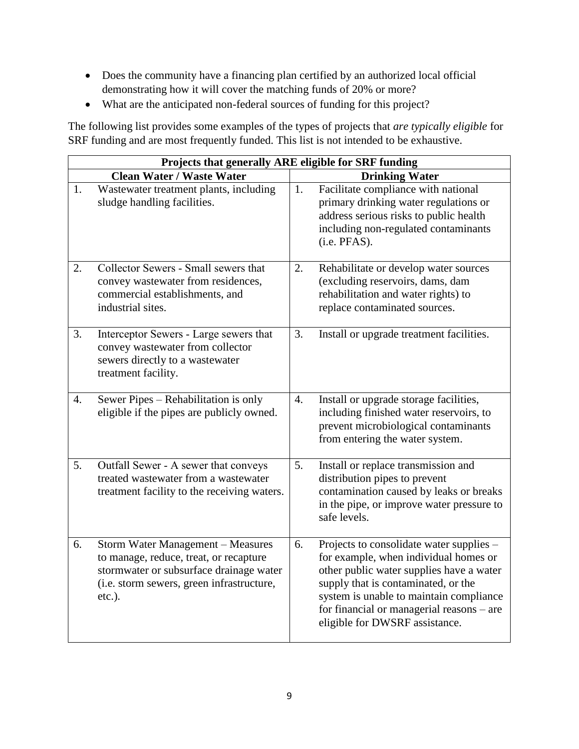- Does the community have a financing plan certified by an authorized local official demonstrating how it will cover the matching funds of 20% or more?
- What are the anticipated non-federal sources of funding for this project?

The following list provides some examples of the types of projects that *are typically eligible* for SRF funding and are most frequently funded. This list is not intended to be exhaustive.

|                  | Projects that generally ARE eligible for SRF funding                                                                                                                             |                  |                                                                                                                                                                                                                                                                                                |  |  |
|------------------|----------------------------------------------------------------------------------------------------------------------------------------------------------------------------------|------------------|------------------------------------------------------------------------------------------------------------------------------------------------------------------------------------------------------------------------------------------------------------------------------------------------|--|--|
|                  | <b>Clean Water / Waste Water</b>                                                                                                                                                 |                  | <b>Drinking Water</b>                                                                                                                                                                                                                                                                          |  |  |
| 1.               | Wastewater treatment plants, including<br>sludge handling facilities.                                                                                                            | 1.               | Facilitate compliance with national<br>primary drinking water regulations or<br>address serious risks to public health<br>including non-regulated contaminants<br>(i.e. PFAS).                                                                                                                 |  |  |
| 2.               | Collector Sewers - Small sewers that<br>convey wastewater from residences,<br>commercial establishments, and<br>industrial sites.                                                | 2.               | Rehabilitate or develop water sources<br>(excluding reservoirs, dams, dam<br>rehabilitation and water rights) to<br>replace contaminated sources.                                                                                                                                              |  |  |
| 3.               | Interceptor Sewers - Large sewers that<br>convey wastewater from collector<br>sewers directly to a wastewater<br>treatment facility.                                             | 3.               | Install or upgrade treatment facilities.                                                                                                                                                                                                                                                       |  |  |
| $\overline{4}$ . | Sewer Pipes - Rehabilitation is only<br>eligible if the pipes are publicly owned.                                                                                                | $\overline{4}$ . | Install or upgrade storage facilities,<br>including finished water reservoirs, to<br>prevent microbiological contaminants<br>from entering the water system.                                                                                                                                   |  |  |
| 5.               | Outfall Sewer - A sewer that conveys<br>treated wastewater from a wastewater<br>treatment facility to the receiving waters.                                                      | 5.               | Install or replace transmission and<br>distribution pipes to prevent<br>contamination caused by leaks or breaks<br>in the pipe, or improve water pressure to<br>safe levels.                                                                                                                   |  |  |
| 6.               | Storm Water Management - Measures<br>to manage, reduce, treat, or recapture<br>stormwater or subsurface drainage water<br>(i.e. storm sewers, green infrastructure,<br>$etc.$ ). | 6.               | Projects to consolidate water supplies -<br>for example, when individual homes or<br>other public water supplies have a water<br>supply that is contaminated, or the<br>system is unable to maintain compliance<br>for financial or managerial reasons - are<br>eligible for DWSRF assistance. |  |  |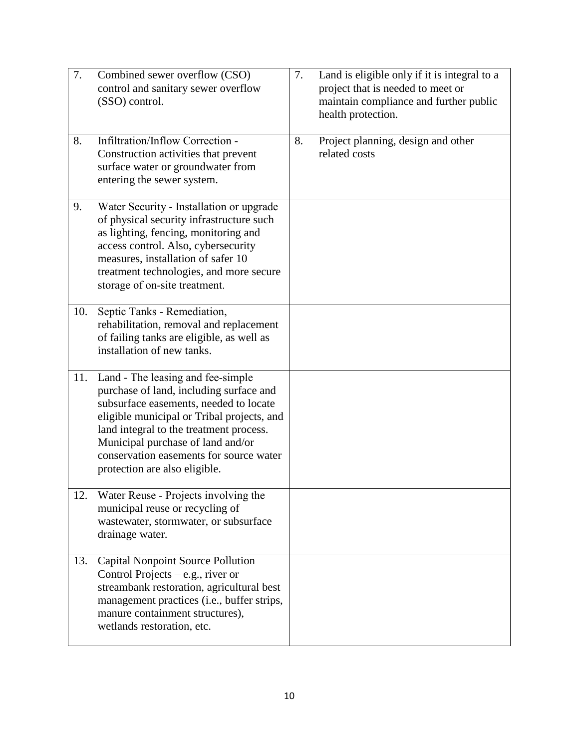| 7.  | Combined sewer overflow (CSO)<br>control and sanitary sewer overflow<br>(SSO) control.                                                                                                                                                                                                                                           | 7. | Land is eligible only if it is integral to a<br>project that is needed to meet or<br>maintain compliance and further public<br>health protection. |
|-----|----------------------------------------------------------------------------------------------------------------------------------------------------------------------------------------------------------------------------------------------------------------------------------------------------------------------------------|----|---------------------------------------------------------------------------------------------------------------------------------------------------|
| 8.  | Infiltration/Inflow Correction -<br>Construction activities that prevent<br>surface water or groundwater from<br>entering the sewer system.                                                                                                                                                                                      | 8. | Project planning, design and other<br>related costs                                                                                               |
| 9.  | Water Security - Installation or upgrade<br>of physical security infrastructure such<br>as lighting, fencing, monitoring and<br>access control. Also, cybersecurity<br>measures, installation of safer 10<br>treatment technologies, and more secure<br>storage of on-site treatment.                                            |    |                                                                                                                                                   |
| 10. | Septic Tanks - Remediation,<br>rehabilitation, removal and replacement<br>of failing tanks are eligible, as well as<br>installation of new tanks.                                                                                                                                                                                |    |                                                                                                                                                   |
| 11. | Land - The leasing and fee-simple<br>purchase of land, including surface and<br>subsurface easements, needed to locate<br>eligible municipal or Tribal projects, and<br>land integral to the treatment process.<br>Municipal purchase of land and/or<br>conservation easements for source water<br>protection are also eligible. |    |                                                                                                                                                   |
| 12. | Water Reuse - Projects involving the<br>municipal reuse or recycling of<br>wastewater, stormwater, or subsurface<br>drainage water.                                                                                                                                                                                              |    |                                                                                                                                                   |
| 13. | <b>Capital Nonpoint Source Pollution</b><br>Control Projects – e.g., river or<br>streambank restoration, agricultural best<br>management practices (i.e., buffer strips,<br>manure containment structures),<br>wetlands restoration, etc.                                                                                        |    |                                                                                                                                                   |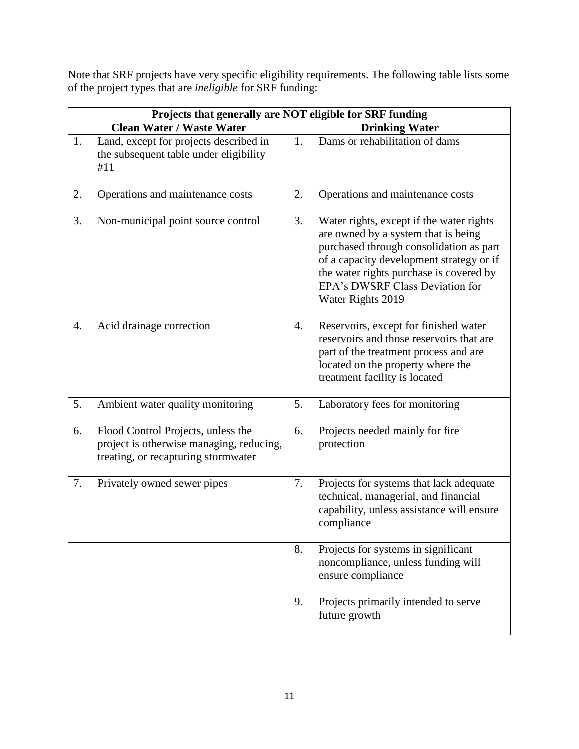Note that SRF projects have very specific eligibility requirements. The following table lists some of the project types that are *ineligible* for SRF funding:

|                                  | Projects that generally are NOT eligible for SRF funding                                                              |    |                                                                                                                                                                                                                                                                           |  |  |
|----------------------------------|-----------------------------------------------------------------------------------------------------------------------|----|---------------------------------------------------------------------------------------------------------------------------------------------------------------------------------------------------------------------------------------------------------------------------|--|--|
| <b>Clean Water / Waste Water</b> |                                                                                                                       |    | <b>Drinking Water</b>                                                                                                                                                                                                                                                     |  |  |
| 1.                               | Land, except for projects described in<br>the subsequent table under eligibility<br>#11                               | 1. | Dams or rehabilitation of dams                                                                                                                                                                                                                                            |  |  |
| 2.                               | Operations and maintenance costs                                                                                      | 2. | Operations and maintenance costs                                                                                                                                                                                                                                          |  |  |
| 3.                               | Non-municipal point source control                                                                                    | 3. | Water rights, except if the water rights<br>are owned by a system that is being<br>purchased through consolidation as part<br>of a capacity development strategy or if<br>the water rights purchase is covered by<br>EPA's DWSRF Class Deviation for<br>Water Rights 2019 |  |  |
| $\overline{4}$ .                 | Acid drainage correction                                                                                              | 4. | Reservoirs, except for finished water<br>reservoirs and those reservoirs that are<br>part of the treatment process and are<br>located on the property where the<br>treatment facility is located                                                                          |  |  |
| 5.                               | Ambient water quality monitoring                                                                                      | 5. | Laboratory fees for monitoring                                                                                                                                                                                                                                            |  |  |
| 6.                               | Flood Control Projects, unless the<br>project is otherwise managing, reducing,<br>treating, or recapturing stormwater | 6. | Projects needed mainly for fire<br>protection                                                                                                                                                                                                                             |  |  |
| 7.                               | Privately owned sewer pipes                                                                                           | 7. | Projects for systems that lack adequate<br>technical, managerial, and financial<br>capability, unless assistance will ensure<br>compliance                                                                                                                                |  |  |
|                                  |                                                                                                                       | 8. | Projects for systems in significant<br>noncompliance, unless funding will<br>ensure compliance                                                                                                                                                                            |  |  |
|                                  |                                                                                                                       | 9. | Projects primarily intended to serve<br>future growth                                                                                                                                                                                                                     |  |  |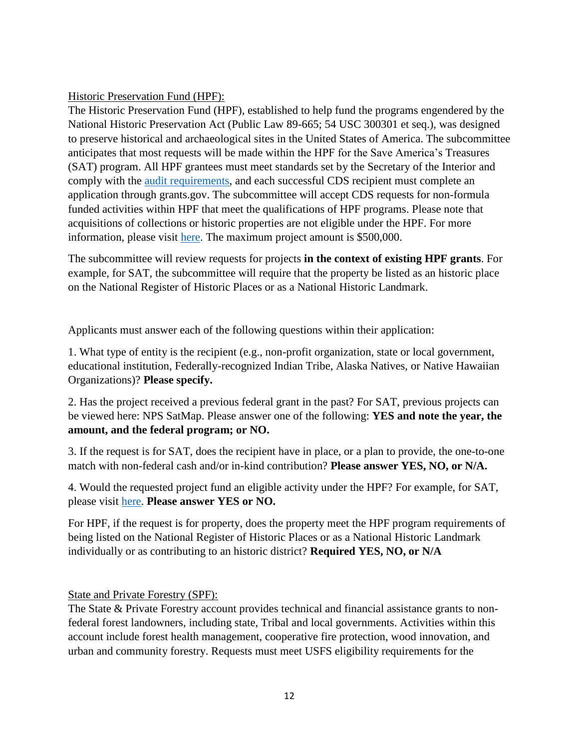## Historic Preservation Fund (HPF):

The Historic Preservation Fund (HPF), established to help fund the programs engendered by the National Historic Preservation Act (Public Law 89-665; 54 USC 300301 et seq.), was designed to preserve historical and archaeological sites in the United States of America. The subcommittee anticipates that most requests will be made within the HPF for the Save America's Treasures (SAT) program. All HPF grantees must meet standards set by the Secretary of the Interior and comply with the [audit requirements,](https://www.nps.gov/subjects/historicpreservationfund/audit-information.htm) and each successful CDS recipient must complete an application through grants.gov. The subcommittee will accept CDS requests for non-formula funded activities within HPF that meet the qualifications of HPF programs. Please note that acquisitions of collections or historic properties are not eligible under the HPF. For more information, please visit [here.](https://www.nps.gov/subjects/historicpreservationfund/grant-programs.htm) The maximum project amount is \$500,000.

The subcommittee will review requests for projects **in the context of existing HPF grants**. For example, for SAT, the subcommittee will require that the property be listed as an historic place on the National Register of Historic Places or as a National Historic Landmark.

Applicants must answer each of the following questions within their application:

1. What type of entity is the recipient (e.g., non-profit organization, state or local government, educational institution, Federally-recognized Indian Tribe, Alaska Natives, or Native Hawaiian Organizations)? **Please specify.**

2. Has the project received a previous federal grant in the past? For SAT, previous projects can be viewed here: NPS SatMap. Please answer one of the following: **YES and note the year, the amount, and the federal program; or NO.**

3. If the request is for SAT, does the recipient have in place, or a plan to provide, the one-to-one match with non-federal cash and/or in-kind contribution? **Please answer YES, NO, or N/A.**

4. Would the requested project fund an eligible activity under the HPF? For example, for SAT, please visit [here.](https://www.nps.gov/subjects/historicpreservationfund/sat-grant-info.htm) **Please answer YES or NO.**

For HPF, if the request is for property, does the property meet the HPF program requirements of being listed on the National Register of Historic Places or as a National Historic Landmark individually or as contributing to an historic district? **Required YES, NO, or N/A**

State and Private Forestry (SPF):

The State & Private Forestry account provides technical and financial assistance grants to nonfederal forest landowners, including state, Tribal and local governments. Activities within this account include forest health management, cooperative fire protection, wood innovation, and urban and community forestry. Requests must meet USFS eligibility requirements for the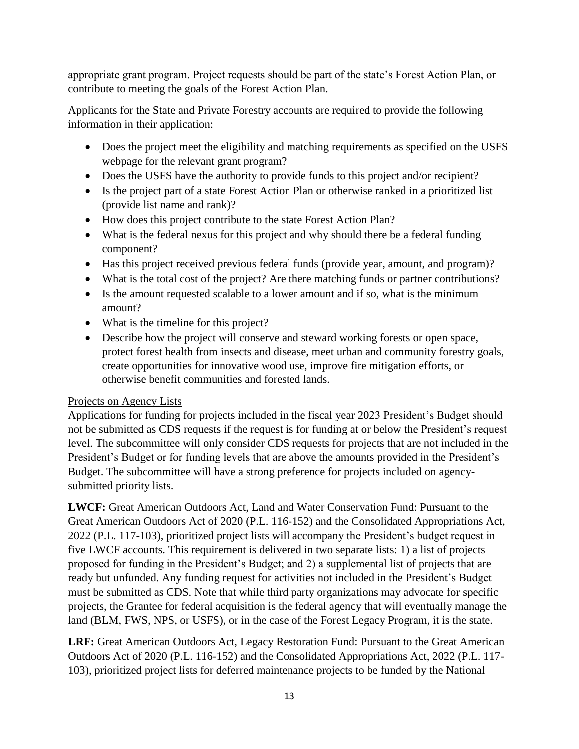appropriate grant program. Project requests should be part of the state's Forest Action Plan, or contribute to meeting the goals of the Forest Action Plan.

Applicants for the State and Private Forestry accounts are required to provide the following information in their application:

- Does the project meet the eligibility and matching requirements as specified on the USFS webpage for the relevant grant program?
- Does the USFS have the authority to provide funds to this project and/or recipient?
- Is the project part of a state Forest Action Plan or otherwise ranked in a prioritized list (provide list name and rank)?
- How does this project contribute to the state Forest Action Plan?
- What is the federal nexus for this project and why should there be a federal funding component?
- Has this project received previous federal funds (provide year, amount, and program)?
- What is the total cost of the project? Are there matching funds or partner contributions?
- Is the amount requested scalable to a lower amount and if so, what is the minimum amount?
- What is the timeline for this project?
- Describe how the project will conserve and steward working forests or open space, protect forest health from insects and disease, meet urban and community forestry goals, create opportunities for innovative wood use, improve fire mitigation efforts, or otherwise benefit communities and forested lands.

# Projects on Agency Lists

Applications for funding for projects included in the fiscal year 2023 President's Budget should not be submitted as CDS requests if the request is for funding at or below the President's request level. The subcommittee will only consider CDS requests for projects that are not included in the President's Budget or for funding levels that are above the amounts provided in the President's Budget. The subcommittee will have a strong preference for projects included on agencysubmitted priority lists.

**LWCF:** Great American Outdoors Act, Land and Water Conservation Fund: Pursuant to the Great American Outdoors Act of 2020 (P.L. 116-152) and the Consolidated Appropriations Act, 2022 (P.L. 117-103), prioritized project lists will accompany the President's budget request in five LWCF accounts. This requirement is delivered in two separate lists: 1) a list of projects proposed for funding in the President's Budget; and 2) a supplemental list of projects that are ready but unfunded. Any funding request for activities not included in the President's Budget must be submitted as CDS. Note that while third party organizations may advocate for specific projects, the Grantee for federal acquisition is the federal agency that will eventually manage the land (BLM, FWS, NPS, or USFS), or in the case of the Forest Legacy Program, it is the state.

**LRF:** Great American Outdoors Act, Legacy Restoration Fund: Pursuant to the Great American Outdoors Act of 2020 (P.L. 116-152) and the Consolidated Appropriations Act, 2022 (P.L. 117- 103), prioritized project lists for deferred maintenance projects to be funded by the National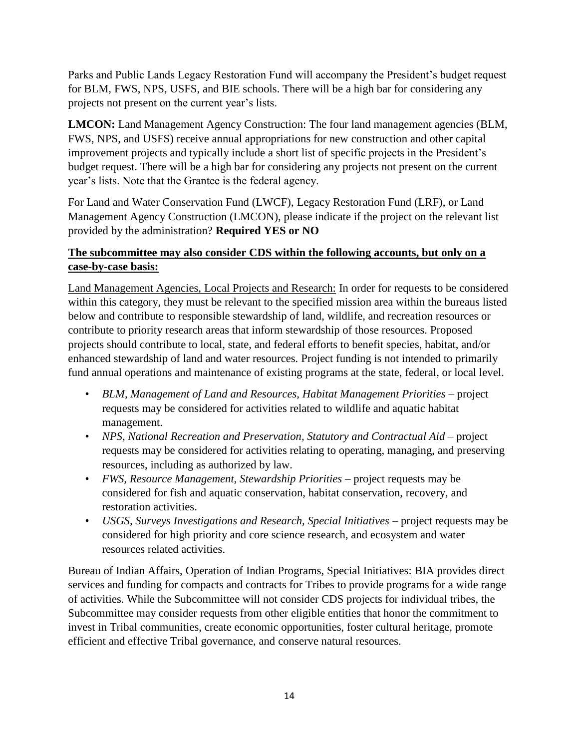Parks and Public Lands Legacy Restoration Fund will accompany the President's budget request for BLM, FWS, NPS, USFS, and BIE schools. There will be a high bar for considering any projects not present on the current year's lists.

**LMCON:** Land Management Agency Construction: The four land management agencies (BLM, FWS, NPS, and USFS) receive annual appropriations for new construction and other capital improvement projects and typically include a short list of specific projects in the President's budget request. There will be a high bar for considering any projects not present on the current year's lists. Note that the Grantee is the federal agency.

For Land and Water Conservation Fund (LWCF), Legacy Restoration Fund (LRF), or Land Management Agency Construction (LMCON), please indicate if the project on the relevant list provided by the administration? **Required YES or NO**

# **The subcommittee may also consider CDS within the following accounts, but only on a case-by-case basis:**

Land Management Agencies, Local Projects and Research: In order for requests to be considered within this category, they must be relevant to the specified mission area within the bureaus listed below and contribute to responsible stewardship of land, wildlife, and recreation resources or contribute to priority research areas that inform stewardship of those resources. Proposed projects should contribute to local, state, and federal efforts to benefit species, habitat, and/or enhanced stewardship of land and water resources. Project funding is not intended to primarily fund annual operations and maintenance of existing programs at the state, federal, or local level.

- *BLM, Management of Land and Resources, Habitat Management Priorities* project requests may be considered for activities related to wildlife and aquatic habitat management.
- *NPS, National Recreation and Preservation, Statutory and Contractual Aid* project requests may be considered for activities relating to operating, managing, and preserving resources, including as authorized by law.
- *FWS, Resource Management, Stewardship Priorities* project requests may be considered for fish and aquatic conservation, habitat conservation, recovery, and restoration activities.
- *USGS, Surveys Investigations and Research, Special Initiatives* project requests may be considered for high priority and core science research, and ecosystem and water resources related activities.

Bureau of Indian Affairs, Operation of Indian Programs, Special Initiatives: BIA provides direct services and funding for compacts and contracts for Tribes to provide programs for a wide range of activities. While the Subcommittee will not consider CDS projects for individual tribes, the Subcommittee may consider requests from other eligible entities that honor the commitment to invest in Tribal communities, create economic opportunities, foster cultural heritage, promote efficient and effective Tribal governance, and conserve natural resources.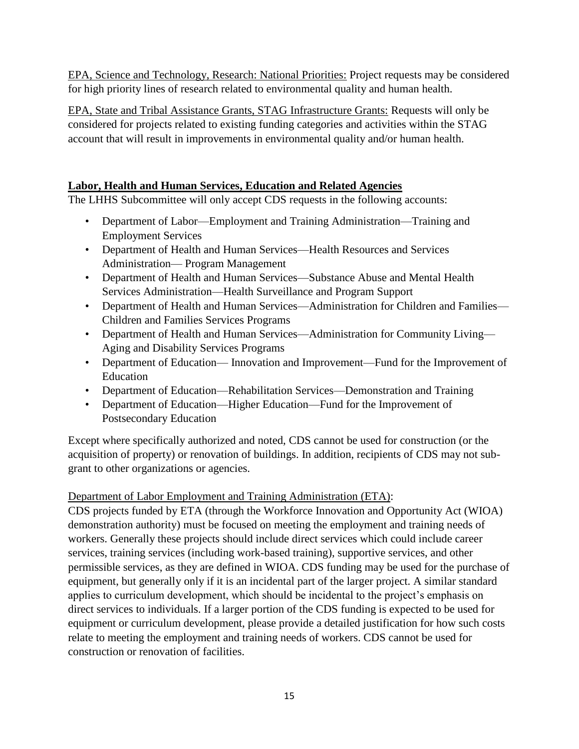EPA, Science and Technology, Research: National Priorities: Project requests may be considered for high priority lines of research related to environmental quality and human health.

EPA, State and Tribal Assistance Grants, STAG Infrastructure Grants: Requests will only be considered for projects related to existing funding categories and activities within the STAG account that will result in improvements in environmental quality and/or human health.

# <span id="page-14-0"></span>**Labor, Health and Human Services, Education and Related Agencies**

The LHHS Subcommittee will only accept CDS requests in the following accounts:

- Department of Labor—Employment and Training Administration—Training and Employment Services
- Department of Health and Human Services—Health Resources and Services Administration— Program Management
- Department of Health and Human Services—Substance Abuse and Mental Health Services Administration—Health Surveillance and Program Support
- Department of Health and Human Services—Administration for Children and Families— Children and Families Services Programs
- Department of Health and Human Services—Administration for Community Living— Aging and Disability Services Programs
- Department of Education— Innovation and Improvement—Fund for the Improvement of Education
- Department of Education—Rehabilitation Services—Demonstration and Training
- Department of Education—Higher Education—Fund for the Improvement of Postsecondary Education

Except where specifically authorized and noted, CDS cannot be used for construction (or the acquisition of property) or renovation of buildings. In addition, recipients of CDS may not subgrant to other organizations or agencies.

# Department of Labor Employment and Training Administration (ETA):

CDS projects funded by ETA (through the Workforce Innovation and Opportunity Act (WIOA) demonstration authority) must be focused on meeting the employment and training needs of workers. Generally these projects should include direct services which could include career services, training services (including work-based training), supportive services, and other permissible services, as they are defined in WIOA. CDS funding may be used for the purchase of equipment, but generally only if it is an incidental part of the larger project. A similar standard applies to curriculum development, which should be incidental to the project's emphasis on direct services to individuals. If a larger portion of the CDS funding is expected to be used for equipment or curriculum development, please provide a detailed justification for how such costs relate to meeting the employment and training needs of workers. CDS cannot be used for construction or renovation of facilities.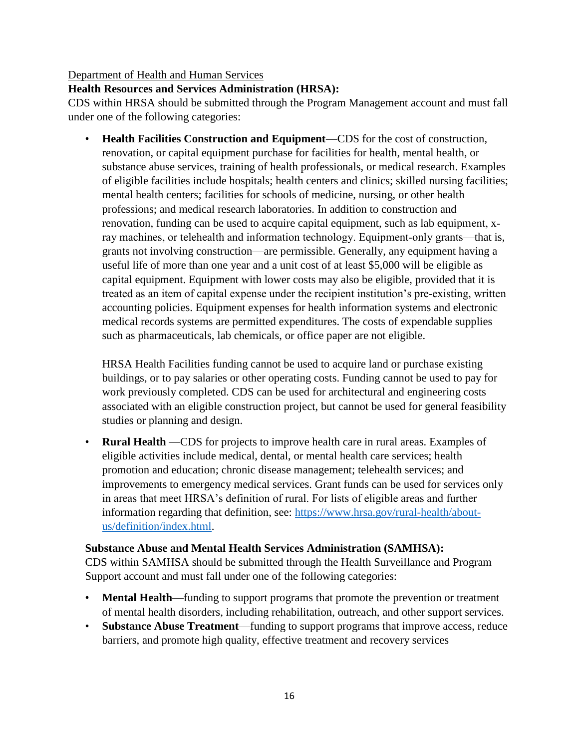#### Department of Health and Human Services

#### **Health Resources and Services Administration (HRSA):**

CDS within HRSA should be submitted through the Program Management account and must fall under one of the following categories:

• **Health Facilities Construction and Equipment**—CDS for the cost of construction, renovation, or capital equipment purchase for facilities for health, mental health, or substance abuse services, training of health professionals, or medical research. Examples of eligible facilities include hospitals; health centers and clinics; skilled nursing facilities; mental health centers; facilities for schools of medicine, nursing, or other health professions; and medical research laboratories. In addition to construction and renovation, funding can be used to acquire capital equipment, such as lab equipment, x‐ ray machines, or telehealth and information technology. Equipment-only grants—that is, grants not involving construction—are permissible. Generally, any equipment having a useful life of more than one year and a unit cost of at least \$5,000 will be eligible as capital equipment. Equipment with lower costs may also be eligible, provided that it is treated as an item of capital expense under the recipient institution's pre‐existing, written accounting policies. Equipment expenses for health information systems and electronic medical records systems are permitted expenditures. The costs of expendable supplies such as pharmaceuticals, lab chemicals, or office paper are not eligible.

HRSA Health Facilities funding cannot be used to acquire land or purchase existing buildings, or to pay salaries or other operating costs. Funding cannot be used to pay for work previously completed. CDS can be used for architectural and engineering costs associated with an eligible construction project, but cannot be used for general feasibility studies or planning and design.

• **Rural Health** —CDS for projects to improve health care in rural areas. Examples of eligible activities include medical, dental, or mental health care services; health promotion and education; chronic disease management; telehealth services; and improvements to emergency medical services. Grant funds can be used for services only in areas that meet HRSA's definition of rural. For lists of eligible areas and further information regarding that definition, see: [https://www.hrsa.gov/rural-health/about](https://www.hrsa.gov/rural-health/about-us/definition/index.html)[us/definition/index.html.](https://www.hrsa.gov/rural-health/about-us/definition/index.html)

#### **Substance Abuse and Mental Health Services Administration (SAMHSA):**

CDS within SAMHSA should be submitted through the Health Surveillance and Program Support account and must fall under one of the following categories:

- **Mental Health—funding to support programs that promote the prevention or treatment** of mental health disorders, including rehabilitation, outreach, and other support services.
- **Substance Abuse Treatment**—funding to support programs that improve access, reduce barriers, and promote high quality, effective treatment and recovery services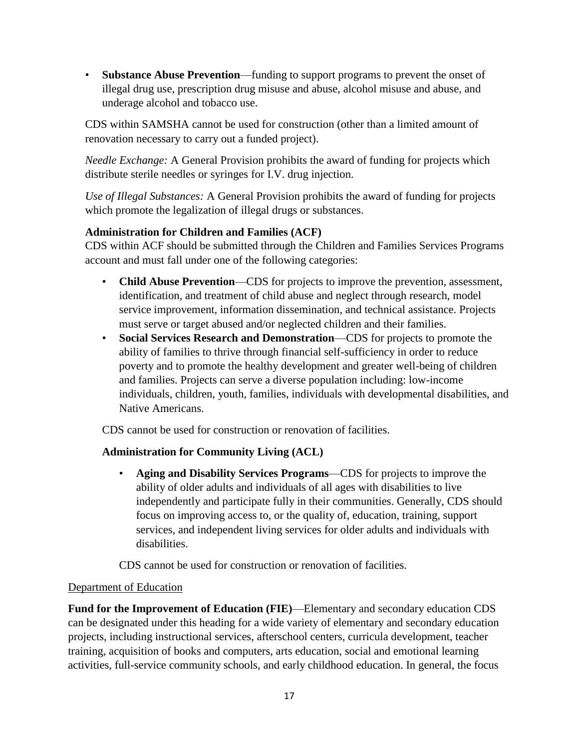• **Substance Abuse Prevention**—funding to support programs to prevent the onset of illegal drug use, prescription drug misuse and abuse, alcohol misuse and abuse, and underage alcohol and tobacco use.

CDS within SAMSHA cannot be used for construction (other than a limited amount of renovation necessary to carry out a funded project).

*Needle Exchange:* A General Provision prohibits the award of funding for projects which distribute sterile needles or syringes for I.V. drug injection.

*Use of Illegal Substances:* A General Provision prohibits the award of funding for projects which promote the legalization of illegal drugs or substances.

# **Administration for Children and Families (ACF)**

CDS within ACF should be submitted through the Children and Families Services Programs account and must fall under one of the following categories:

- **Child Abuse Prevention**—CDS for projects to improve the prevention, assessment, identification, and treatment of child abuse and neglect through research, model service improvement, information dissemination, and technical assistance. Projects must serve or target abused and/or neglected children and their families.
- **Social Services Research and Demonstration**—CDS for projects to promote the ability of families to thrive through financial self-sufficiency in order to reduce poverty and to promote the healthy development and greater well-being of children and families. Projects can serve a diverse population including: low-income individuals, children, youth, families, individuals with developmental disabilities, and Native Americans.

CDS cannot be used for construction or renovation of facilities.

# **Administration for Community Living (ACL)**

• **Aging and Disability Services Programs**—CDS for projects to improve the ability of older adults and individuals of all ages with disabilities to live independently and participate fully in their communities. Generally, CDS should focus on improving access to, or the quality of, education, training, support services, and independent living services for older adults and individuals with disabilities.

CDS cannot be used for construction or renovation of facilities.

### Department of Education

**Fund for the Improvement of Education (FIE)**—Elementary and secondary education CDS can be designated under this heading for a wide variety of elementary and secondary education projects, including instructional services, afterschool centers, curricula development, teacher training, acquisition of books and computers, arts education, social and emotional learning activities, full-service community schools, and early childhood education. In general, the focus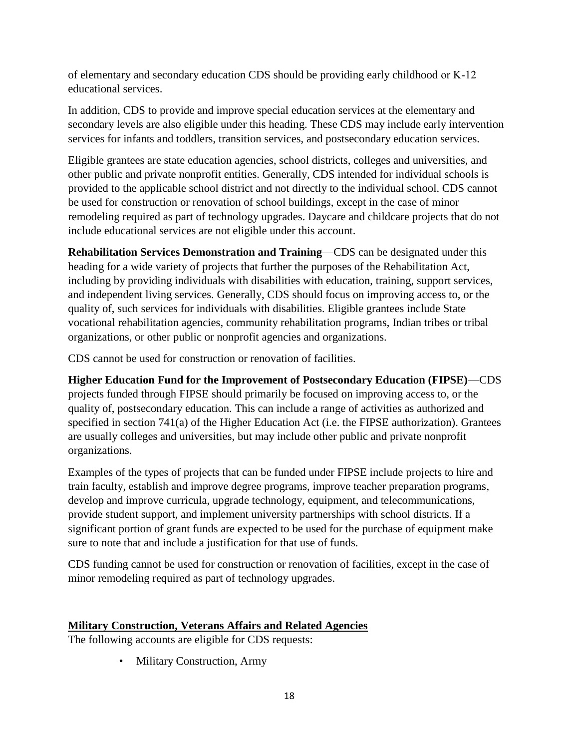of elementary and secondary education CDS should be providing early childhood or K‐12 educational services.

In addition, CDS to provide and improve special education services at the elementary and secondary levels are also eligible under this heading. These CDS may include early intervention services for infants and toddlers, transition services, and postsecondary education services.

Eligible grantees are state education agencies, school districts, colleges and universities, and other public and private nonprofit entities. Generally, CDS intended for individual schools is provided to the applicable school district and not directly to the individual school. CDS cannot be used for construction or renovation of school buildings, except in the case of minor remodeling required as part of technology upgrades. Daycare and childcare projects that do not include educational services are not eligible under this account.

**Rehabilitation Services Demonstration and Training**—CDS can be designated under this heading for a wide variety of projects that further the purposes of the Rehabilitation Act, including by providing individuals with disabilities with education, training, support services, and independent living services. Generally, CDS should focus on improving access to, or the quality of, such services for individuals with disabilities. Eligible grantees include State vocational rehabilitation agencies, community rehabilitation programs, Indian tribes or tribal organizations, or other public or nonprofit agencies and organizations.

CDS cannot be used for construction or renovation of facilities.

**Higher Education Fund for the Improvement of Postsecondary Education (FIPSE)**—CDS projects funded through FIPSE should primarily be focused on improving access to, or the quality of, postsecondary education. This can include a range of activities as authorized and specified in section 741(a) of the Higher Education Act (i.e. the FIPSE authorization). Grantees are usually colleges and universities, but may include other public and private nonprofit organizations.

Examples of the types of projects that can be funded under FIPSE include projects to hire and train faculty, establish and improve degree programs, improve teacher preparation programs, develop and improve curricula, upgrade technology, equipment, and telecommunications, provide student support, and implement university partnerships with school districts. If a significant portion of grant funds are expected to be used for the purchase of equipment make sure to note that and include a justification for that use of funds.

CDS funding cannot be used for construction or renovation of facilities, except in the case of minor remodeling required as part of technology upgrades.

### <span id="page-17-0"></span>**Military Construction, Veterans Affairs and Related Agencies**

The following accounts are eligible for CDS requests:

• Military Construction, Army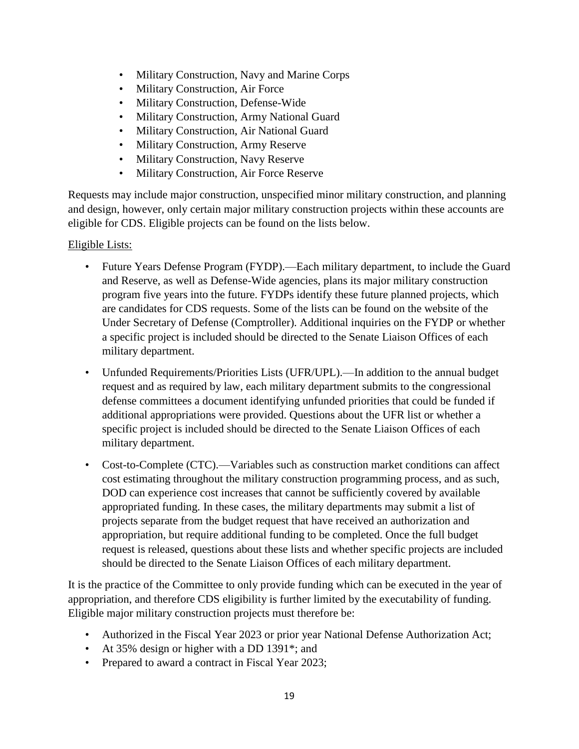- Military Construction, Navy and Marine Corps
- Military Construction, Air Force
- Military Construction, Defense-Wide
- Military Construction, Army National Guard
- Military Construction, Air National Guard
- Military Construction, Army Reserve
- Military Construction, Navy Reserve
- Military Construction, Air Force Reserve

Requests may include major construction, unspecified minor military construction, and planning and design, however, only certain major military construction projects within these accounts are eligible for CDS. Eligible projects can be found on the lists below.

## Eligible Lists:

- Future Years Defense Program (FYDP).—Each military department, to include the Guard and Reserve, as well as Defense-Wide agencies, plans its major military construction program five years into the future. FYDPs identify these future planned projects, which are candidates for CDS requests. Some of the lists can be found on the website of the Under Secretary of Defense (Comptroller). Additional inquiries on the FYDP or whether a specific project is included should be directed to the Senate Liaison Offices of each military department.
- Unfunded Requirements/Priorities Lists (UFR/UPL).—In addition to the annual budget request and as required by law, each military department submits to the congressional defense committees a document identifying unfunded priorities that could be funded if additional appropriations were provided. Questions about the UFR list or whether a specific project is included should be directed to the Senate Liaison Offices of each military department.
- Cost-to-Complete (CTC).—Variables such as construction market conditions can affect cost estimating throughout the military construction programming process, and as such, DOD can experience cost increases that cannot be sufficiently covered by available appropriated funding. In these cases, the military departments may submit a list of projects separate from the budget request that have received an authorization and appropriation, but require additional funding to be completed. Once the full budget request is released, questions about these lists and whether specific projects are included should be directed to the Senate Liaison Offices of each military department.

It is the practice of the Committee to only provide funding which can be executed in the year of appropriation, and therefore CDS eligibility is further limited by the executability of funding. Eligible major military construction projects must therefore be:

- Authorized in the Fiscal Year 2023 or prior year National Defense Authorization Act;
- At 35% design or higher with a DD 1391<sup>\*</sup>; and
- Prepared to award a contract in Fiscal Year 2023;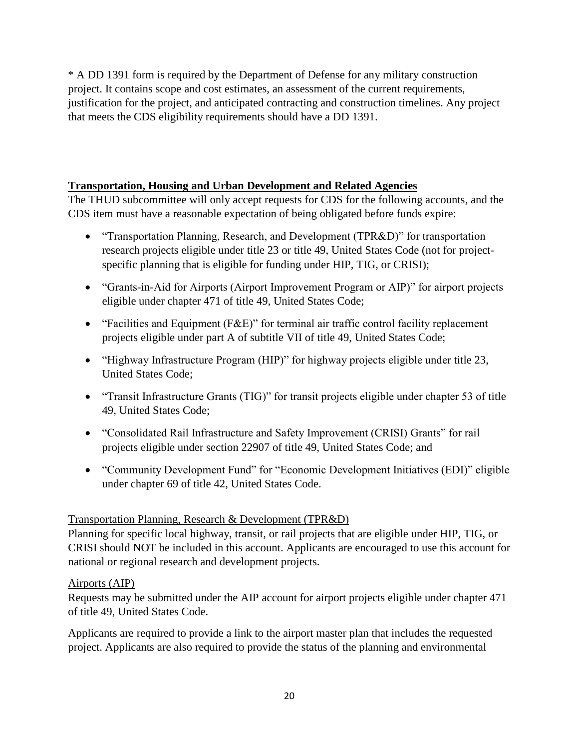\* A DD 1391 form is required by the Department of Defense for any military construction project. It contains scope and cost estimates, an assessment of the current requirements, justification for the project, and anticipated contracting and construction timelines. Any project that meets the CDS eligibility requirements should have a DD 1391.

## <span id="page-19-0"></span>**Transportation, Housing and Urban Development and Related Agencies**

The THUD subcommittee will only accept requests for CDS for the following accounts, and the CDS item must have a reasonable expectation of being obligated before funds expire:

- "Transportation Planning, Research, and Development (TPR&D)" for transportation research projects eligible under title 23 or title 49, United States Code (not for projectspecific planning that is eligible for funding under HIP, TIG, or CRISI);
- "Grants-in-Aid for Airports (Airport Improvement Program or AIP)" for airport projects eligible under chapter 471 of title 49, United States Code;
- "Facilities and Equipment (F&E)" for terminal air traffic control facility replacement projects eligible under part A of subtitle VII of title 49, United States Code;
- "Highway Infrastructure Program (HIP)" for highway projects eligible under title 23, United States Code;
- "Transit Infrastructure Grants (TIG)" for transit projects eligible under chapter 53 of title 49, United States Code;
- "Consolidated Rail Infrastructure and Safety Improvement (CRISI) Grants" for rail projects eligible under section 22907 of title 49, United States Code; and
- "Community Development Fund" for "Economic Development Initiatives (EDI)" eligible under chapter 69 of title 42, United States Code.

### Transportation Planning, Research & Development (TPR&D)

Planning for specific local highway, transit, or rail projects that are eligible under HIP, TIG, or CRISI should NOT be included in this account. Applicants are encouraged to use this account for national or regional research and development projects.

### Airports (AIP)

Requests may be submitted under the AIP account for airport projects eligible under chapter 471 of title 49, United States Code.

Applicants are required to provide a link to the airport master plan that includes the requested project. Applicants are also required to provide the status of the planning and environmental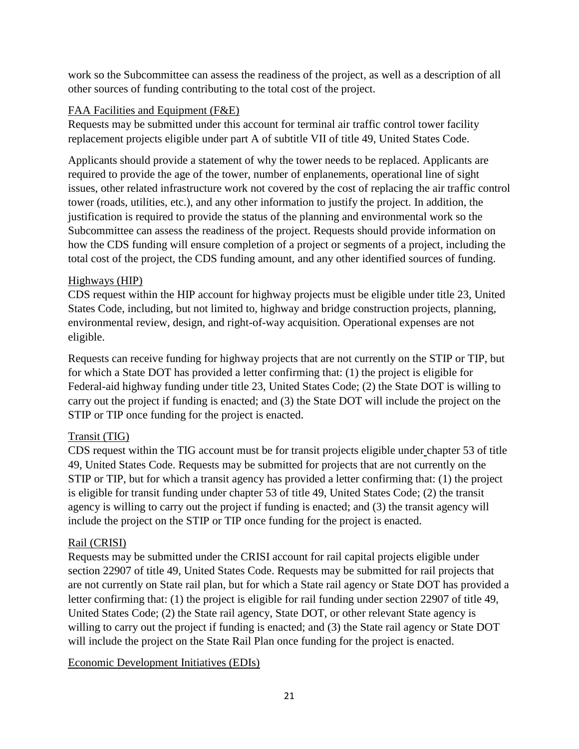work so the Subcommittee can assess the readiness of the project, as well as a description of all other sources of funding contributing to the total cost of the project.

## FAA Facilities and Equipment (F&E)

Requests may be submitted under this account for terminal air traffic control tower facility replacement projects eligible under part A of subtitle VII of title 49, United States Code.

Applicants should provide a statement of why the tower needs to be replaced. Applicants are required to provide the age of the tower, number of enplanements, operational line of sight issues, other related infrastructure work not covered by the cost of replacing the air traffic control tower (roads, utilities, etc.), and any other information to justify the project. In addition, the justification is required to provide the status of the planning and environmental work so the Subcommittee can assess the readiness of the project. Requests should provide information on how the CDS funding will ensure completion of a project or segments of a project, including the total cost of the project, the CDS funding amount, and any other identified sources of funding.

## Highways (HIP)

CDS request within the HIP account for highway projects must be eligible under title 23, United States Code, including, but not limited to, highway and bridge construction projects, planning, environmental review, design, and right-of-way acquisition. Operational expenses are not eligible.

Requests can receive funding for highway projects that are not currently on the STIP or TIP, but for which a State DOT has provided a letter confirming that: (1) the project is eligible for Federal-aid highway funding under title 23, United States Code; (2) the State DOT is willing to carry out the project if funding is enacted; and (3) the State DOT will include the project on the STIP or TIP once funding for the project is enacted.

# Transit (TIG)

CDS request within the TIG account must be for transit projects eligible under chapter 53 of title 49, United States Code. Requests may be submitted for projects that are not currently on the STIP or TIP, but for which a transit agency has provided a letter confirming that: (1) the project is eligible for transit funding under chapter 53 of title 49, United States Code; (2) the transit agency is willing to carry out the project if funding is enacted; and (3) the transit agency will include the project on the STIP or TIP once funding for the project is enacted.

### Rail (CRISI)

Requests may be submitted under the CRISI account for rail capital projects eligible under section 22907 of title 49, United States Code. Requests may be submitted for rail projects that are not currently on State rail plan, but for which a State rail agency or State DOT has provided a letter confirming that: (1) the project is eligible for rail funding under section 22907 of title 49, United States Code; (2) the State rail agency, State DOT, or other relevant State agency is willing to carry out the project if funding is enacted; and (3) the State rail agency or State DOT will include the project on the State Rail Plan once funding for the project is enacted.

### Economic Development Initiatives (EDIs)